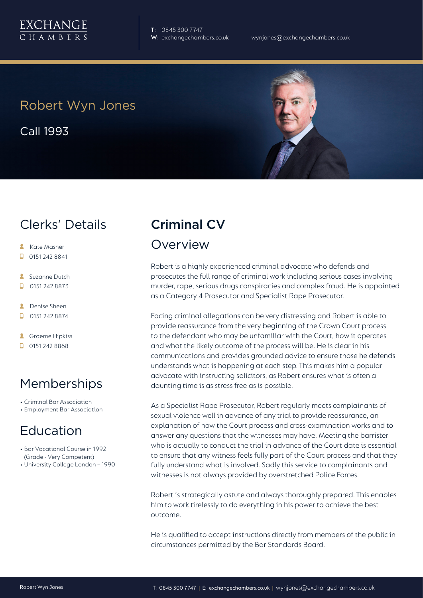

**T**: 0845 300 7747

## Robert Wyn Jones

Call 1993

### Clerks' Details

- **Kate Masher**
- $\Box$  0151 242 8841
- **Suzanne Dutch**
- $\Box$  0151 242 8873
- **A** Denise Sheen
- $\Box$  0151 242 8874
- **A** Graeme Hipkiss
- $\Box$  0151 242 8868

## Memberships

- Criminal Bar Association
- Employment Bar Association

# Education

- Bar Vocational Course in 1992 (Grade - Very Competent)
- University College London 1990

# Criminal CV

#### **Overview**

Robert is a highly experienced criminal advocate who defends and prosecutes the full range of criminal work including serious cases involving murder, rape, serious drugs conspiracies and complex fraud. He is appointed as a Category 4 Prosecutor and Specialist Rape Prosecutor.

Facing criminal allegations can be very distressing and Robert is able to provide reassurance from the very beginning of the Crown Court process to the defendant who may be unfamiliar with the Court, how it operates and what the likely outcome of the process will be. He is clear in his communications and provides grounded advice to ensure those he defends understands what is happening at each step. This makes him a popular advocate with instructing solicitors, as Robert ensures what is often a daunting time is as stress free as is possible.

As a Specialist Rape Prosecutor, Robert regularly meets complainants of sexual violence well in advance of any trial to provide reassurance, an explanation of how the Court process and cross-examination works and to answer any questions that the witnesses may have. Meeting the barrister who is actually to conduct the trial in advance of the Court date is essential to ensure that any witness feels fully part of the Court process and that they fully understand what is involved. Sadly this service to complainants and witnesses is not always provided by overstretched Police Forces.

Robert is strategically astute and always thoroughly prepared. This enables him to work tirelessly to do everything in his power to achieve the best outcome.

He is qualified to accept instructions directly from members of the public in circumstances permitted by the Bar Standards Board.